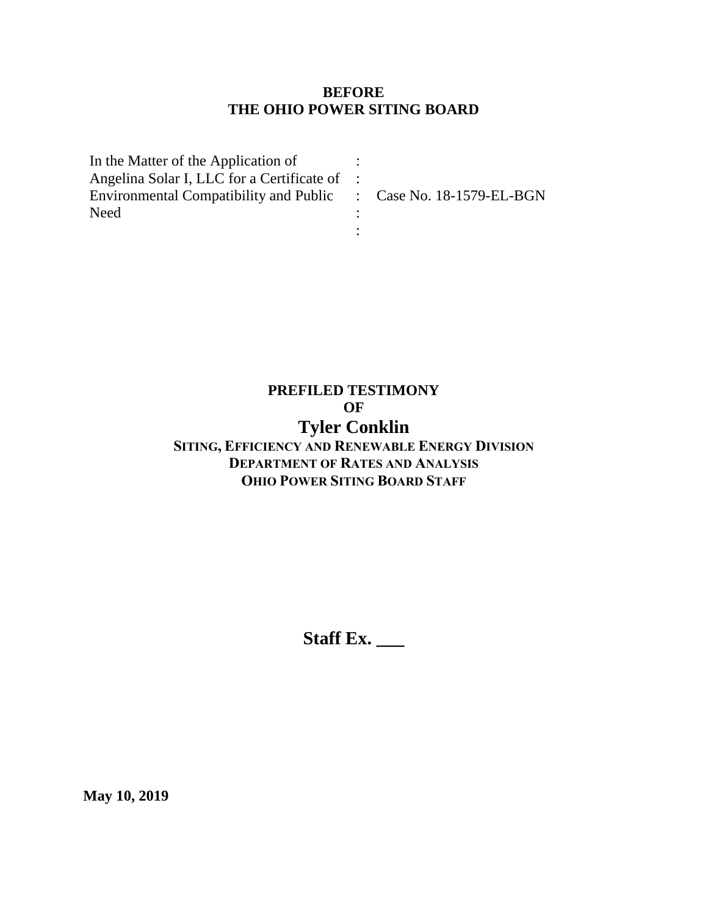#### **BEFORE THE OHIO POWER SITING BOARD**

| In the Matter of the Application of                              |  |
|------------------------------------------------------------------|--|
| Angelina Solar I, LLC for a Certificate of :                     |  |
| Environmental Compatibility and Public : Case No. 18-1579-EL-BGN |  |
| <b>Need</b>                                                      |  |
|                                                                  |  |

# **PREFILED TESTIMONY OF Tyler Conklin**

## **SITING, EFFICIENCY AND RENEWABLE ENERGY DIVISION DEPARTMENT OF RATES AND ANALYSIS OHIO POWER SITING BOARD STAFF**

**Staff Ex. \_\_\_**

**May 10, 2019**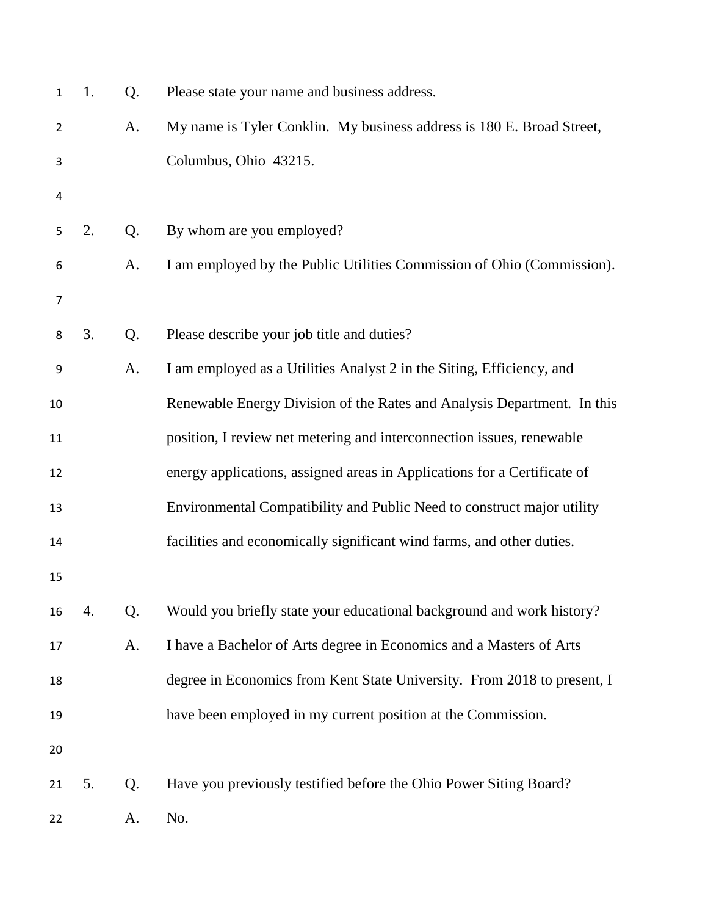| 1              | 1. | Q.             | Please state your name and business address.                             |
|----------------|----|----------------|--------------------------------------------------------------------------|
| $\overline{2}$ |    | A.             | My name is Tyler Conklin. My business address is 180 E. Broad Street,    |
| 3              |    |                | Columbus, Ohio 43215.                                                    |
| 4              |    |                |                                                                          |
| 5              | 2. | Q <sub>1</sub> | By whom are you employed?                                                |
| 6              |    | A.             | I am employed by the Public Utilities Commission of Ohio (Commission).   |
| 7              |    |                |                                                                          |
| 8              | 3. | Q.             | Please describe your job title and duties?                               |
| 9              |    | A.             | I am employed as a Utilities Analyst 2 in the Siting, Efficiency, and    |
| 10             |    |                | Renewable Energy Division of the Rates and Analysis Department. In this  |
| 11             |    |                | position, I review net metering and interconnection issues, renewable    |
| 12             |    |                | energy applications, assigned areas in Applications for a Certificate of |
| 13             |    |                | Environmental Compatibility and Public Need to construct major utility   |
| 14             |    |                | facilities and economically significant wind farms, and other duties.    |
| 15             |    |                |                                                                          |
| 16             | 4. | Q.             | Would you briefly state your educational background and work history?    |
| 17             |    | A.             | I have a Bachelor of Arts degree in Economics and a Masters of Arts      |
| 18             |    |                | degree in Economics from Kent State University. From 2018 to present, I  |
| 19             |    |                | have been employed in my current position at the Commission.             |
| 20             |    |                |                                                                          |
| 21             | 5. | Q.             | Have you previously testified before the Ohio Power Siting Board?        |
| 22             |    | A.             | No.                                                                      |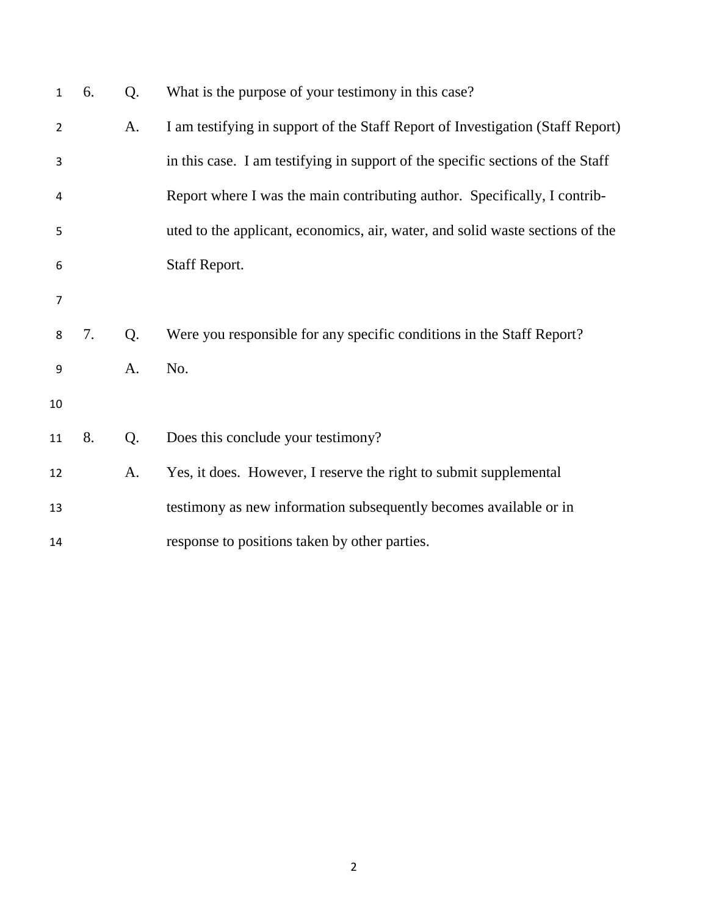| $\mathbf{1}$   | 6. | Q. | What is the purpose of your testimony in this case?                            |
|----------------|----|----|--------------------------------------------------------------------------------|
| 2              |    | A. | I am testifying in support of the Staff Report of Investigation (Staff Report) |
| 3              |    |    | in this case. I am testifying in support of the specific sections of the Staff |
| $\overline{4}$ |    |    | Report where I was the main contributing author. Specifically, I contrib-      |
| 5              |    |    | uted to the applicant, economics, air, water, and solid waste sections of the  |
| 6              |    |    | Staff Report.                                                                  |
| $\overline{7}$ |    |    |                                                                                |
| 8              | 7. | Q. | Were you responsible for any specific conditions in the Staff Report?          |
| 9              |    | A. | No.                                                                            |
| 10             |    |    |                                                                                |
| 11             | 8. | Q. | Does this conclude your testimony?                                             |
| 12             |    | A. | Yes, it does. However, I reserve the right to submit supplemental              |
| 13             |    |    | testimony as new information subsequently becomes available or in              |
| 14             |    |    | response to positions taken by other parties.                                  |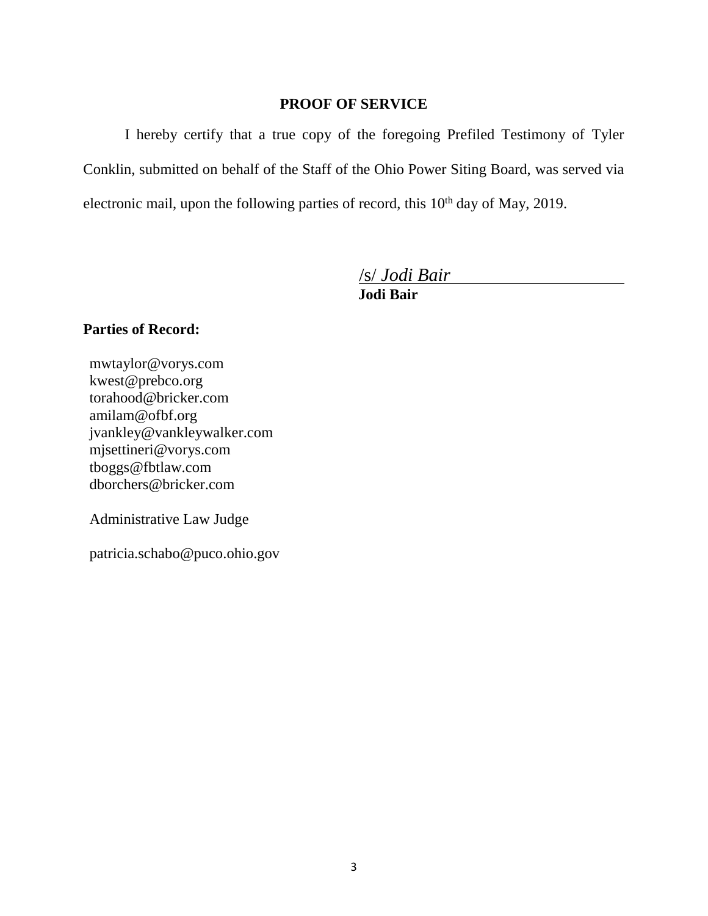### **PROOF OF SERVICE**

I hereby certify that a true copy of the foregoing Prefiled Testimony of Tyler Conklin, submitted on behalf of the Staff of the Ohio Power Siting Board, was served via electronic mail, upon the following parties of record, this 10<sup>th</sup> day of May, 2019.

/s/ *Jodi Bair*

**Jodi Bair**

### **Parties of Record:**

mwtaylor@vorys.com [kwest@prebco.org](mailto:kwest@prebco.org) [torahood@bricker.com](mailto:torahood@bricker.com) [amilam@ofbf.org](mailto:amilam@ofbf.org) [jvankley@vankleywalker.com](mailto:jvankley@vankleywalker.com) [mjsettineri@vorys.com](mailto:mjsettineri@vorys.com) [tboggs@fbtlaw.com](mailto:tboggs@fbtlaw.com) [dborchers@bricker.com](mailto:dborchers@bricker.com)

Administrative Law Judge

patricia.schabo@puco.ohio.gov